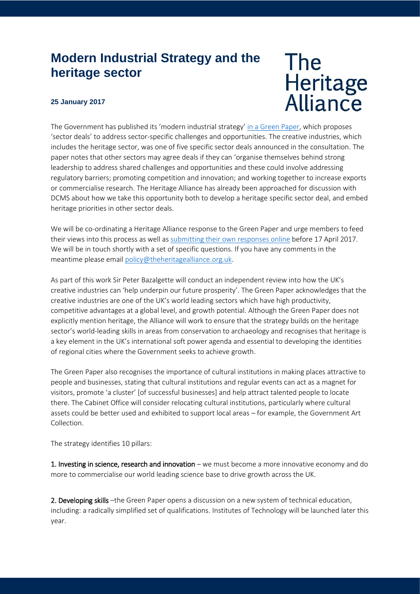## **Modern Industrial Strategy and the heritage sector**

## **25 January 2017**

## **The** Heritage<br>Alliance

The Government has published its 'modern industrial strategy' [in a Green Paper,](https://beisgovuk.citizenspace.com/strategy/industrial-strategy/supporting_documents/buildingourindustrialstrategygreenpaper.pdf) which proposes 'sector deals' to address sector-specific challenges and opportunities. The creative industries, which includes the heritage sector, was one of five specific sector deals announced in the consultation. The paper notes that other sectors may agree deals if they can 'organise themselves behind strong leadership to address shared challenges and opportunities and these could involve addressing regulatory barriers; promoting competition and innovation; and working together to increase exports or commercialise research. The Heritage Alliance has already been approached for discussion with DCMS about how we take this opportunity both to develop a heritage specific sector deal, and embed heritage priorities in other sector deals.

We will be co-ordinating a Heritage Alliance response to the Green Paper and urge members to feed their views into this process as well a[s submitting their own](https://beisgovuk.citizenspace.com/strategy/industrial-strategy/consultation/) responses online before 17 April 2017. We will be in touch shortly with a set of specific questions. If you have any comments in the meantime please email [policy@theheritagealliance.org.uk.](mailto:policy@theheritagealliance.org.uk)

As part of this work Sir Peter Bazalgette will conduct an independent review into how the UK's creative industries can 'help underpin our future prosperity'. The Green Paper acknowledges that the creative industries are one of the UK's world leading sectors which have high productivity, competitive advantages at a global level, and growth potential. Although the Green Paper does not explicitly mention heritage, the Alliance will work to ensure that the strategy builds on the heritage sector's world-leading skills in areas from conservation to archaeology and recognises that heritage is a key element in the UK's international soft power agenda and essential to developing the identities of regional cities where the Government seeks to achieve growth.

The Green Paper also recognises the importance of cultural institutions in making places attractive to people and businesses, stating that cultural institutions and regular events can act as a magnet for visitors, promote 'a cluster' [of successful businesses] and help attract talented people to locate there. The Cabinet Office will consider relocating cultural institutions, particularly where cultural assets could be better used and exhibited to support local areas – for example, the Government Art Collection.

The strategy identifies 10 pillars:

1. Investing in science, research and innovation – we must become a more innovative economy and do more to commercialise our world leading science base to drive growth across the UK.

2. Developing skills –the Green Paper opens a discussion on a new system of technical education, including: a radically simplified set of qualifications. Institutes of Technology will be launched later this year.